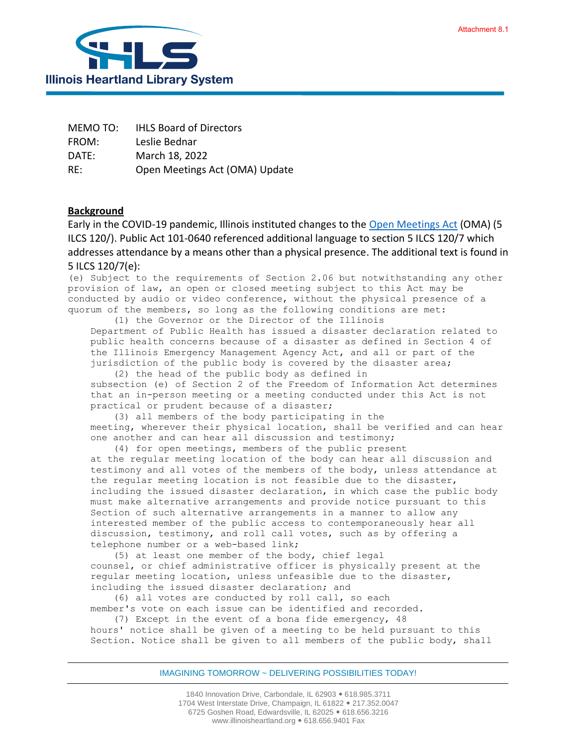

| MEMO TO: | <b>IHLS Board of Directors</b> |
|----------|--------------------------------|
| FROM:    | Leslie Bednar                  |
| DATE:    | March 18, 2022                 |
| RE:      | Open Meetings Act (OMA) Update |

## **Background**

Early in the COVID-19 pandemic, Illinois instituted changes to the [Open Meetings Act](https://www.ilga.gov/legislation/ilcs/ilcs3.asp?ActID=84&ChapterID=2) (OMA) (5 ILCS 120/). Public Act 101-0640 referenced additional language to section 5 ILCS 120/7 which addresses attendance by a means other than a physical presence. The additional text is found in 5 ILCS 120/7(e):

(e) Subject to the requirements of Section 2.06 but notwithstanding any other provision of law, an open or closed meeting subject to this Act may be conducted by audio or video conference, without the physical presence of a quorum of the members, so long as the following conditions are met:

(1) the Governor or the Director of the Illinois Department of Public Health has issued a disaster declaration related to public health concerns because of a disaster as defined in Section 4 of the Illinois Emergency Management Agency Act, and all or part of the jurisdiction of the public body is covered by the disaster area;

(2) the head of the public body as defined in subsection (e) of Section 2 of the Freedom of Information Act determines that an in-person meeting or a meeting conducted under this Act is not practical or prudent because of a disaster;

(3) all members of the body participating in the meeting, wherever their physical location, shall be verified and can hear one another and can hear all discussion and testimony;

(4) for open meetings, members of the public present at the regular meeting location of the body can hear all discussion and testimony and all votes of the members of the body, unless attendance at the regular meeting location is not feasible due to the disaster, including the issued disaster declaration, in which case the public body must make alternative arrangements and provide notice pursuant to this Section of such alternative arrangements in a manner to allow any interested member of the public access to contemporaneously hear all discussion, testimony, and roll call votes, such as by offering a telephone number or a web-based link;

(5) at least one member of the body, chief legal counsel, or chief administrative officer is physically present at the regular meeting location, unless unfeasible due to the disaster, including the issued disaster declaration; and

(6) all votes are conducted by roll call, so each member's vote on each issue can be identified and recorded.

(7) Except in the event of a bona fide emergency, 48 hours' notice shall be given of a meeting to be held pursuant to this Section. Notice shall be given to all members of the public body, shall